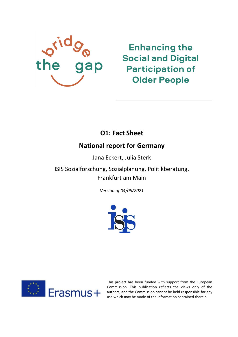

**Enhancing the Social and Digital Participation of Older People** 

# **O1: Fact Sheet**

# **National report for Germany**

Jana Eckert, Julia Sterk

ISIS Sozialforschung, Sozialplanung, Politikberatung, Frankfurt am Main

*Version of 04/05/2021*





This project has been funded with support from the European Commission. This publication reflects the views only of the authors, and the Commission cannot be held responsible for any use which may be made of the information contained therein.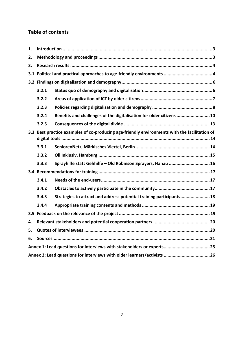# **Table of contents**

| 1.  |                                                                                               |                                                                      |  |  |
|-----|-----------------------------------------------------------------------------------------------|----------------------------------------------------------------------|--|--|
| 2.  |                                                                                               |                                                                      |  |  |
| 3.  |                                                                                               |                                                                      |  |  |
| 3.1 |                                                                                               |                                                                      |  |  |
|     |                                                                                               |                                                                      |  |  |
|     | 3.2.1                                                                                         |                                                                      |  |  |
|     | 3.2.2                                                                                         |                                                                      |  |  |
|     | 3.2.3                                                                                         |                                                                      |  |  |
|     | 3.2.4                                                                                         | Benefits and challenges of the digitalisation for older citizens  10 |  |  |
|     | 3.2.5                                                                                         |                                                                      |  |  |
|     | 3.3 Best practice examples of co-producing age-friendly environments with the facilitation of |                                                                      |  |  |
|     | 3.3.1                                                                                         |                                                                      |  |  |
|     | 3.3.2                                                                                         |                                                                      |  |  |
|     | 3.3.3                                                                                         | Sprayhilfe statt Gehhilfe - Old Robinson Sprayers, Hanau  16         |  |  |
|     |                                                                                               |                                                                      |  |  |
|     | 3.4.1                                                                                         |                                                                      |  |  |
|     | 3.4.2                                                                                         |                                                                      |  |  |
|     | 3.4.3                                                                                         | Strategies to attract and address potential training participants 18 |  |  |
|     | 3.4.4                                                                                         |                                                                      |  |  |
|     |                                                                                               |                                                                      |  |  |
| 4.  |                                                                                               |                                                                      |  |  |
| 5.  |                                                                                               |                                                                      |  |  |
| 6.  |                                                                                               |                                                                      |  |  |
|     |                                                                                               |                                                                      |  |  |
|     |                                                                                               |                                                                      |  |  |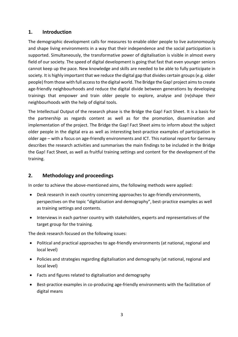# <span id="page-2-0"></span>**1. Introduction**

The demographic development calls for measures to enable older people to live autonomously and shape living environments in a way that their independence and the social participation is supported. Simultaneously, the transformative power of digitalisation is visible in almost every field of our society. The speed of digital development is going that fast that even younger seniors cannot keep up the pace. New knowledge and skills are needed to be able to fully participate in society. It is highly important that we reduce the digital gap that divides certain groups (e.g. older people) from those with full access to the digital world. The Bridge the Gap! project aims to create age-friendly neighbourhoods and reduce the digital divide between generations by developing trainings that empower and train older people to explore, analyse and (re)shape their neighbourhoods with the help of digital tools.

The Intellectual Output of the research phase is the Bridge the Gap! Fact Sheet. It is a basis for the partnership as regards content as well as for the promotion, dissemination and implementation of the project. The Bridge the Gap! Fact Sheet aims to inform about the subject older people in the digital era as well as interesting best-practice examples of participation in older age – with a focus on age-friendly environments and ICT. This national report for Germany describes the research activities and summarises the main findings to be included in the Bridge the Gap! Fact Sheet, as well as fruitful training settings and content for the development of the training.

# <span id="page-2-1"></span>**2. Methodology and proceedings**

In order to achieve the above-mentioned aims, the following methods were applied:

- Desk research in each country concerning approaches to age-friendly environments, perspectives on the topic "digitalisation and demography", best-practice examples as well as training settings and contents.
- Interviews in each partner country with stakeholders, experts and representatives of the target group for the training.

The desk research focused on the following issues:

- Political and practical approaches to age-friendly environments (at national, regional and local level)
- Policies and strategies regarding digitalisation and demography (at national, regional and local level)
- Facts and figures related to digitalisation and demography
- Best-practice examples in co-producing age-friendly environments with the facilitation of digital means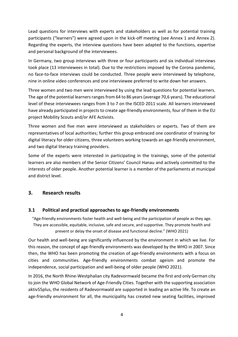Lead questions for interviews with experts and stakeholders as well as for potential training participants ("learners") were agreed upon in the kick-off meeting (see Annex 1 and Annex 2). Regarding the experts, the interview questions have been adapted to the functions, expertise and personal background of the interviewees.

In Germany, two group interviews with three or four participants and six individual interviews took place (13 interviewees in total). Due to the restrictions imposed by the Corona pandemic, no face-to-face interviews could be conducted. Three people were interviewed by telephone, nine in online video conferences and one interviewee preferred to write down her answers.

Three women and two men were interviewed by using the lead questions for potential learners. The age of the potential learners ranges from 64 to 86 years (average 70,6 years). The educational level of these interviewees ranges from 3 to 7 on the ISCED 2011 scale. All learners interviewed have already participated in projects to create age-friendly environments, four of them in the EU project Mobility Scouts and/or AFE Activists.

Three women and five men were interviewed as stakeholders or experts. Two of them are representatives of local authorities; further this group embraced one coordinator of training for digital literacy for older citizens, three volunteers working towards an age-friendly environment, and two digital literacy training providers.

Some of the experts were interested in participating in the trainings, some of the potential learners are also members of the Senior Citizens' Council Hanau and actively committed to the interests of older people. Another potential learner is a member of the parliaments at municipal and district level.

# <span id="page-3-0"></span>**3. Research results**

#### <span id="page-3-1"></span>**3.1 Political and practical approaches to age-friendly environments**

"Age-friendly environments foster health and well-being and the participation of people as they age. They are accessible, equitable, inclusive, safe and secure, and supportive. They promote health and prevent or delay the onset of disease and functional decline." (WHO 2021)

Our health and well-being are significantly influenced by the environment in which we live. For this reason, the concept of age-friendly environments was developed by the WHO in 2007. Since then, the WHO has been promoting the creation of age-friendly environments with a focus on cities and communities. Age-friendly environments combat ageism and promote the independence, social participation and well-being of older people (WHO 2021).

In 2016, the North Rhine-Westphalian city Radevormwald became the first and only German city to join the WHO Global Network of Age-Friendly Cities. Together with the supporting association aktiv55plus, the residents of Radevormwald are supported in leading an active life. To create an age-friendly environment for all, the municipality has created new seating facilities, improved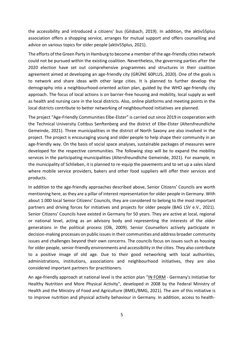the accessibility and introduced a citizens' bus (Gilsbach, 2019). In addition, the aktiv55plus association offers a shopping service, arranges for mutual support and offers counselling and advice on various topics for older people (aktiv55plus, 2021).

The efforts of the Green Party in Hamburg to become a member of the age-friendly cities network could not be pursued within the existing coalition. Nevertheless, the governing parties after the 2020 election have set out comprehensive programmes and structures in their coalition agreement aimed at developing an age-friendly city (GRÜNE 60PLUS, 2020). One of the goals is to network and share ideas with other large cities. It is planned to further develop the demography into a neighbourhood-oriented action plan, guided by the WHO age-friendly city approach. The focus of local actions is on barrier-free housing and mobility, local supply as well as health and nursing care in the local districts. Also, online platforms and meeting points in the local districts contribute to better networking of neighbourhood initiatives are planned.

The project "Age-Friendly Communities Elbe-Elster" is carried out since 2019 in cooperation with the Technical University Cottbus Senftenberg and the district of Elbe-Elster (Altersfreundliche Gemeinde, 2021). Three municipalities in the district of North Saxony are also involved in the project. The project is encouraging young and older people to help shape their community in an age-friendly way. On the basis of social space analyses, sustainable packages of measures were developed for the respective communities. The following step will be to expand the mobility services in the participating municipalities (Altersfreundliche Gemeinde, 2021). For example, in the municipality of Schlieben, it is planned to re-equip the pavements and to set up a sales island where mobile service providers, bakers and other food suppliers will offer their services and products.

In addition to the age-friendly approaches described above, Senior Citizens' Councils are worth mentioning here, as they are a pillar of interest representation for older people in Germany. With about 1.000 local Senior Citizens' Councils, they are considered to belong to the most important partners and driving forces for initiatives and projects for older people (BAG LSV e.V., 2021). Senior Citizens' Councils have existed in Germany for 50 years. They are active at local, regional or national level, acting as an advisory body and representing the interests of the older generations in the political process (Olk, 2009). Senior Counsellors actively participate in decision-making processes on public issues in their communities and address broader community issues and challenges beyond their own concerns. The councils focus on issues such as housing for older people, senior-friendly environments and accessibility in the cities. They also contribute to a positive image of old age. Due to their good networking with local authorities, administrations, institutions, associations and neighbourhood initiatives, they are also considered important partners for practitioners.

An age-friendly approach at national level is the action plan ["IN FORM](https://www.in-form.de/) - Germany's Initiative for Healthy Nutrition and More Physical Activity", developed in 2008 by the Federal Ministry of Health and the Ministry of Food and Agriculture (BMEL/BMG, 2021). The aim of this initiative is to improve nutrition and physical activity behaviour in Germany. In addition, access to health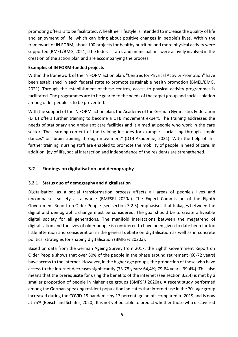promoting offers is to be facilitated. A healthier lifestyle is intended to increase the quality of life and enjoyment of life, which can bring about positive changes in people's lives. Within the framework of IN FORM, about 100 projects for healthy nutrition and more physical activity were supported (BMEL/BMG, 2021). The federal states and municipalities were actively involved in the creation of the action plan and are accompanying the process.

### **Examples of IN FORM-funded projects**

Within the framework of the IN FORM action plan, "Centres for Physical Activity Promotion" have been established in each federal state to promote sustainable health promotion (BMEL/BMG, 2021). Through the establishment of these centres, access to physical activity programmes is facilitated. The programmes are to be geared to the needs of the target group and social isolation among older people is to be prevented.

With the support of the IN FORM action plan, the Academy of the German Gymnastics Federation (DTB) offers further training to become a DTB movement expert. The training addresses the needs of stationary and ambulant care facilities and is aimed at people who work in the care sector. The learning content of the training includes for example "socialising through simple dances" or "brain training through movement" (DTB-Akademie, 2021). With the help of this further training, nursing staff are enabled to promote the mobility of people in need of care. In addition, joy of life, social interaction and independence of the residents are strengthened.

# <span id="page-5-0"></span>**3.2 Findings on digitalisation and demography**

# <span id="page-5-1"></span>**3.2.1 Status quo of demography and digitalisation**

Digitalisation as a social transformation process affects all areas of people's lives and encompasses society as a whole (BMFSFJ 2020a). The Expert Commission of the Eighth Government Report on Older People (see section 3.2.3) emphasises that linkages between the digital and demographic change must be considered. The goal should be to create a liveable digital society for all generations. The manifold interactions between the megatrend of digitalisation and the lives of older people is considered to have been given to date been far too little attention and consideration in the general debate on digitalisation as well as in concrete political strategies for shaping digitalisation (BMFSFJ 2020a).

Based on data from the German Ageing Survey from 2017, the Eighth Government Report on Older People shows that over 80% of the people in the phase around retirement (60-72 years) have access to the internet. However, in the higher age groups, the proportion of those who have access to the internet decreases significantly (73-78 years: 64,4%; 79-84 years: 39,4%). This also means that the prerequisite for using the benefits of the internet (see section 3.2.4) is met by a smaller proportion of people in higher age groups (BMFSFJ 2020a). A recent study performed among the German-speaking resident population indicates that internet use in the 70+ age group increased during the COVID-19 pandemic by 17 percentage points compared to 2019 and is now at 75% (Beisch and Schäfer, 2020). It is not yet possible to predict whether those who discovered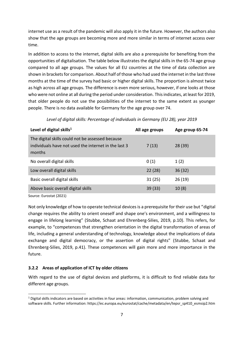internet use as a result of the pandemic will also apply it in the future. However, the authors also show that the age groups are becoming more and more similar in terms of internet access over time.

In addition to access to the internet, digital skills are also a prerequisite for benefiting from the opportunities of digitalisation. The table below illustrates the digital skills in the 65-74 age group compared to all age groups. The values for all EU countries at the time of data collection are shown in brackets for comparison. About half of those who had used the internet in the last three months at the time of the survey had basic or higher digital skills. The proportion is almost twice as high across all age groups. The difference is even more serious, however, if one looks at those who were not online at all during the period under consideration. This indicates, at least for 2019, that older people do not use the possibilities of the internet to the same extent as younger people. There is no data available for Germany for the age group over 74.

| Level of digital skills <sup>1</sup>                                                                               | All age groups | Age group 65-74 |
|--------------------------------------------------------------------------------------------------------------------|----------------|-----------------|
| The digital skills could not be assessed because<br>individuals have not used the internet in the last 3<br>months | 7(13)          | 28(39)          |
| No overall digital skills                                                                                          | 0(1)           | 1(2)            |
| Low overall digital skills                                                                                         | 22(28)         | 36(32)          |
| Basic overall digital skills                                                                                       | 31(25)         | 26(19)          |
| Above basic overall digital skills                                                                                 | 39 (33)        | 10(8)           |

*Level of digital skills: Percentage of individuals in Germany (EU 28), year 2019*

Source: Eurostat (2021)

1

Not only knowledge of how to operate technical devices is a prerequisite for their use but "digital change requires the ability to orient oneself and shape one's environment, and a willingness to engage in lifelong learning" (Stubbe, Schaat and Ehrenberg-Silies, 2019, p.10). This refers, for example, to "competences that strengthen orientation in the digital transformation of areas of life, including a general understanding of technology, knowledge about the implications of data exchange and digital democracy, or the assertion of digital rights" (Stubbe, Schaat and Ehrenberg-Silies, 2019, p.41). These competences will gain more and more importance in the future.

# <span id="page-6-0"></span>**3.2.2 Areas of application of ICT by older citizens**

With regard to the use of digital devices and platforms, it is difficult to find reliable data for different age groups.

 $1$  Digital skills indicators are based on activities in four areas: information, communication, problem solving and software skills. Further information: https://ec.europa.eu/eurostat/cache/metadata/en/tepsr\_sp410\_esmsip2.htm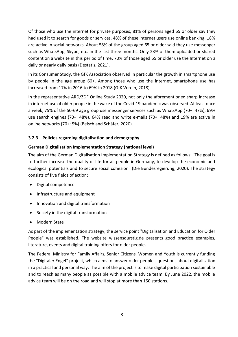Of those who use the internet for private purposes, 81% of persons aged 65 or older say they had used it to search for goods or services. 48% of these internet users use online banking, 18% are active in social networks. About 58% of the group aged 65 or older said they use messenger such as WhatsApp, Skype, etc. in the last three months. Only 23% of them uploaded or shared content on a website in this period of time. 70% of those aged 65 or older use the Internet on a daily or nearly daily basis (Destatis, 2021).

In its Consumer Study, the GfK Association observed in particular the growth in smartphone use by people in the age group 60+. Among those who use the internet, smartphone use has increased from 17% in 2016 to 69% in 2018 (GfK Verein, 2018).

In the representative ARD/ZDF Online Study 2020, not only the aforementioned sharp increase in internet use of older people in the wake of the Covid-19 pandemic was observed. At least once a week, 75% of the 50-69 age group use messenger services such as WhatsApp (70+: 47%), 69% use search engines (70+: 48%), 64% read and write e-mails (70+: 48%) and 19% are active in online networks (70+: 5%) (Beisch and Schäfer, 2020).

# <span id="page-7-0"></span>**3.2.3 Policies regarding digitalisation and demography**

# **German Digitalisation Implementation Strategy (national level)**

The aim of the German Digitalisation Implementation Strategy is defined as follows: "The goal is to further increase the quality of life for all people in Germany, to develop the economic and ecological potentials and to secure social cohesion" (Die Bundesregierung, 2020). The strategy consists of five fields of action:

- Digital competence
- Infrastructure and equipment
- Innovation and digital transformation
- Society in the digital transformation
- Modern State

As part of the implementation strategy, the service point "Digitalisation and Education for Older People" was established. The website [wissensdurstig.de](https://wissensdurstig.de/) presents good practice examples, literature, events and digital training offers for older people.

The Federal Ministry for Family Affairs, Senior Citizens, Women and Youth is currently funding the "[Digitaler Engel](https://www.digitaler-engel.org/ueber-das-projekt)" project, which aims to answer older people's questions about digitalisation in a practical and personal way. The aim of the project is to make digital participation sustainable and to reach as many people as possible with a mobile advice team. By June 2022, the mobile advice team will be on the road and will stop at more than 150 stations.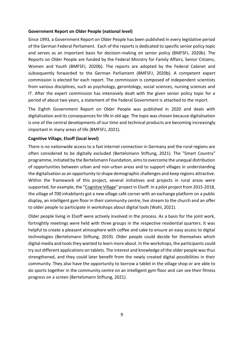#### **Government Report on Older People (national level)**

Since 1993, a Government Report on Older People has been published in every legislative period of the German Federal Parliament. Each of the reports is dedicated to specific senior policy topic and serves as an important basis for decision-making on senior policy (BMFSFJ, 2020b). The Reports on Older People are funded by the Federal Ministry for Family Affairs, Senior Citizens, Women and Youth (BMFSFJ, 2020b). The reports are adopted by the Federal Cabinet and subsequently forwarded to the German Parliament (BMFSFJ, 2020b). A competent expert commission is elected for each report. The commission is composed of independent scientists from various disciplines, such as psychology, gerontology, social sciences, nursing sciences and IT. After the expert commission has intensively dealt with the given senior policy topic for a period of about two years, a statement of the Federal Government is attached to the report.

The Eighth Government Report on Older People was published in 2020 and deals with digitalisation and its consequences for life in old age. The topic was chosen because digitalisation is one of the central developments of our time and technical products are becoming increasingly important in many areas of life (BMFSFJ, 2021).

#### **Cognitive Village, Elsoff (local level)**

There is no nationwide access to a fast internet connection in Germany and the rural regions are often considered to be digitally excluded (Bertelsmann Stiftung, 2021). The "Smart Country" programme, initiated by the Bertelsmann Foundation, aims to overcome the unequal distribution of opportunities between urban and non-urban areas and to support villages in understanding the digitalisation as an opportunity to shape demographic challenges and keep regions attractive. Within the framework of this project, several initiatives and projects in rural areas were supported, for example, the ["Cognitve Village"](https://blog-smartcountry.de/die-smarten-senioren-in-elsoff/) project in Elsoff. In a pilot project from 2015-2018, the village of 700 inhabitants got a new village café corner with an exchange platform on a public display, an intelligent gym floor in their community centre, live stream to the church and an offer to older people to participate in workshops about digital tools (Wahl, 2021).

<span id="page-8-0"></span>Older people living in Elsoff were actively involved in the process. As a basis for the joint work, fortnightly meetings were held with three groups in the respective residential quarters. It was helpful to create a pleasant atmosphere with coffee and cake to ensure an easy access to digital technologies (Bertelsmann Stiftung, 2019). Older people could decide for themselves which digital media and tools they wanted to learn more about. In the workshops, the participants could try out different applications on tablets. The interest and knowledge of the older people was thus strengthened, and they could later benefit from the newly created digital possibilities in their community. They also have the opportunity to borrow a tablet in the village shop or are able to do sports together in the community centre on an intelligent gym floor and can see their fitness progress on a screen (Bertelsmann Stiftung, 2021).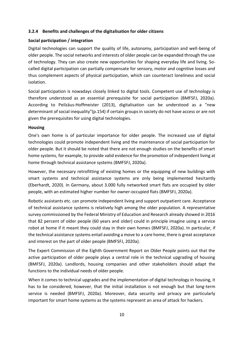#### **3.2.4 Benefits and challenges of the digitalisation for older citizens**

#### **Social participation / integration**

Digital technologies can support the quality of life, autonomy, participation and well-being of older people. The social networks and interests of older people can be expanded through the use of technology. They can also create new opportunities for shaping everyday life and living. Socalled digital participation can partially compensate for sensory, motor and cognitive losses and thus complement aspects of physical participation, which can counteract loneliness and social isolation.

Social participation is nowadays closely linked to digital tools. Competent use of technology is therefore understood as an essential prerequisite for social participation (BMFSFJ, 2020a). According to Peilzäus-Hoffmeister (2013), digitalisation can be understood as a "new determinant of social inequality"(p.154) if certain groups in society do not have access or are not given the prerequisites for using digital technologies.

#### **Housing**

One's own home is of particular importance for older people. The increased use of digital technologies could promote independent living and the maintenance of social participation for older people. But it should be noted that there are not enough studies on the benefits of smart home systems, for example, to provide valid evidence for the promotion of independent living at home through technical assistance systems (BMFSFJ, 2020a).

However, the necessary retrofitting of existing homes or the equipping of new buildings with smart systems and technical assistance systems are only being implemented hesitantly (Eberhardt, 2020). In Germany, about 3.000 fully networked smart flats are occupied by older people, with an estimated higher number for owner-occupied flats (BMFSFJ, 2020a).

Robotic assistants etc. can promote independent living and support outpatient care. Acceptance of technical assistance systems is relatively high among the older population. A representative survey commissioned by the Federal Ministry of Education and Research already showed in 2016 that 82 percent of older people (60 years and older) could in principle imagine using a service robot at home if it meant they could stay in their own homes (BMFSFJ, 2020a). In particular, if the technical assistance systems entail avoiding a move to a care home, there is great acceptance and interest on the part of older people (BMFSFJ, 2020a).

The Expert Commission of the Eighth Government Report on Older People points out that the active participation of older people plays a central role in the technical upgrading of housing (BMFSFJ, 2020a). Landlords, housing companies and other stakeholders should adapt the functions to the individual needs of older people.

When it comes to technical upgrades and the implementation of digital technology in housing, it has to be considered, however, that the initial installation is not enough but that long-term service is needed (BMFSFJ, 2020a). Moreover, data security and privacy are particularly important for smart home systems as the systems represent an area of attack for hackers.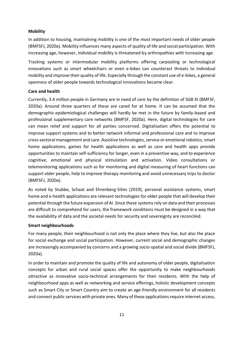#### **Mobility**

In addition to housing, maintaining mobility is one of the most important needs of older people (BMFSFJ, 2020a). Mobility influences many aspects of quality of life and social participation. With increasing age, however, individual mobility is threatened by arthropathies with increasing age.

Tracking systems or intermodular mobility platforms offering carpooling or technological innovations such as smart wheelchairs or even e-bikes can counteract threats to individual mobility and improve their quality of life. Especially through the constant use of e-bikes, a general openness of older people towards technological innovations became clear.

#### **Care and health**

Currently, 3.4 million people in Germany are in need of care by the definition of SGB XI (BMFSF, 2020a). Around three quarters of these are cared for at home. It can be assumed that the demographic-epidemiological challenges will hardly be met in the future by family-based and professional supplementary care networks (BMFSF, 2020a). Here, digital technologies for care can mean relief and support for all parties concerned. Digitalisation offers the potential to improve support systems and to better network informal and professional care and to improve cross-sectoral management and care. Assistive technologies, service or emotional robotics, smart home applications, games for health applications as well as care and health apps provide opportunities to maintain self-sufficiency for longer, even in a preventive way, and to experience cognitive, emotional and physical stimulation and activation. Video consultations or telemonitoring applications such as for monitoring and digital measuring of heart functions can support older people, help to improve therapy monitoring and avoid unnecessary trips to doctor (BMFSFJ, 2020a).

As noted by Stubbe, Schaat and Ehrenberg-Silies (2019), personal assistance systems, smart home and e-health applications are relevant technologies for older people that will develop their potential through the future expansion of AI. Since these systems rely on data and their processes are difficult to comprehend for users, the framework conditions must be designed in a way that the availability of data and the societal needs for security and sovereignty are reconciled.

#### **Smart neighbourhoods**

For many people, their neighbourhood is not only the place where they live, but also the place for social exchange and social participation. However, current social and demographic changes are increasingly accompanied by concerns and a growing socio-spatial and social divide (BMFSFJ, 2020a).

In order to maintain and promote the quality of life and autonomy of older people, digitalisation concepts for urban and rural social spaces offer the opportunity to make neighbourhoods attractive as innovative socio-technical arrangements for their residents. With the help of neighbourhood apps as well as networking and service offerings, holistic development concepts such as Smart City or Smart Country aim to create an age-friendly environment for all residents and connect public services with private ones. Many of these applications require internet access,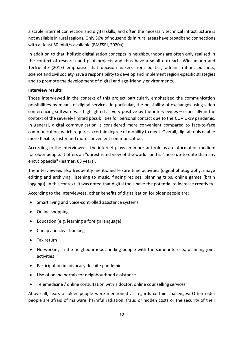a stable internet connection and digital skills, and often the necessary technical infrastructure is not available in rural regions. Only 36% of households in rural areas have broadband connections with at least 50 mbit/s available (BMFSFJ, 2020a).

In addition to that, holistic digitalisation concepts in neighbourhoods are often only realised in the context of research and pilot projects and thus have a small outreach. Wiechmann and Terfrüchte (2017) emphasise that decision-makers from politics, administration, business, science and civil society have a responsibility to develop and implement region-specific strategies and to promote the development of digital and age-friendly environments.

#### **Interview results**

Those interviewed in the context of this project particularly emphasised the communication possibilities by means of digital services. In particular, the possibility of exchanges using video conferencing software was highlighted as very positive by the interviewees – especially in the context of the severely limited possibilities for personal contact due to the COVID-19 pandemic. In general, digital communication is considered more convenient compared to face-to-face communication, which requires a certain degree of mobility to meet. Overall, digital tools enable more flexible, faster and more convenient communication.

According to the interviewees, the internet plays an important role as an information medium for older people. It offers an "unrestricted view of the world" and is "more up-to-date than any encyclopaedia" (learner, 68 years).

The interviewees also frequently mentioned leisure time activities (digital photography, image editing and archiving, listening to music, finding recipes, planning trips, online games (brain jogging)). In this context, it was noted that digital tools have the potential to increase creativity.

According to the interviewees, other benefits of digitalisation for older people are:

- Smart living and voice-controlled assistance systems
- Online shopping
- Education (e.g. learning a foreign language)
- Cheap and clear banking
- Tax return
- Networking in the neighbourhood, finding people with the same interests, planning joint activities
- Participation in advocacy despite pandemic
- Use of online portals for neighbourhood assistance
- Telemedicine / online consultation with a doctor, online counselling services

Above all, fears of older people were mentioned as regards certain challenges: Often older people are afraid of malware, harmful radiation, fraud or hidden costs or the security of their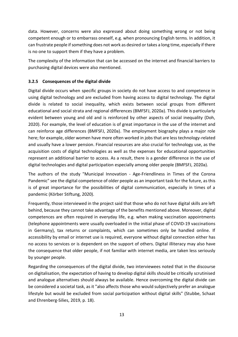data. However, concerns were also expressed about doing something wrong or not being competent enough or to embarrass oneself, e.g. when pronouncing English terms. In addition, it can frustrate people if something does not work as desired or takes a long time, especially if there is no one to support them if they have a problem.

The complexity of the information that can be accessed on the internet and financial barriers to purchasing digital devices were also mentioned.

# <span id="page-12-0"></span>**3.2.5 Consequences of the digital divide**

Digital divide occurs when specific groups in society do not have access to and competence in using digital technology and are excluded from having access to digital technology. The digital divide is related to social inequality, which exists between social groups from different educational and social strata and regional differences (BMFSFJ, 2020a). This divide is particularly evident between young and old and is reinforced by other aspects of social inequality (Doh, 2020). For example, the level of education is of great importance in the use of the internet and can reinforce age differences (BMFSFJ, 2020a). The employment biography plays a major role here; for example, older women have more often worked in jobs that are less technology-related and usually have a lower pension. Financial resources are also crucial for technology use, as the acquisition costs of digital technologies as well as the expenses for educational opportunities represent an additional barrier to access. As a result, there is a gender difference in the use of digital technologies and digital participation especially among older people (BMFSFJ, 2020a).

The authors of the study "Municipal Innovation - Age-Friendliness in Times of the Corona Pandemic" see the digital competence of older people as an important task for the future, as this is of great importance for the possibilities of digital communication, especially in times of a pandemic (Körber Stiftung, 2020).

Frequently, those interviewed in the project said that those who do not have digital skills are left behind, because they cannot take advantage of the benefits mentioned above. Moreover, digital competences are often required in everyday life, e.g. when making vaccination appointments (telephone appointments were usually overloaded in the initial phase of COVID-19 vaccinations in Germany), tax returns or complaints, which can sometimes only be handled online. If accessibility by email or internet use is required, everyone without digital connection either has no access to services or is dependent on the support of others. Digital illiteracy may also have the consequence that older people, if not familiar with internet media, are taken less seriously by younger people.

Regarding the consequences of the digital divide, two interviewees noted that in the discourse on digitalisation, the expectation of having to develop digital skills should be critically scrutinised and analogue alternatives should always be available. Hence overcoming the digital divide can be considered a societal task, as it "also affects those who would subjectively prefer an analogue lifestyle but would be excluded from social participation without digital skills" (Stubbe, Schaat and Ehrenberg-Silies, 2019, p. 18).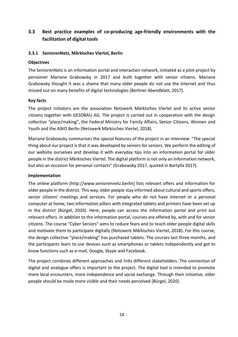# <span id="page-13-0"></span>**3.3 Best practice examples of co-producing age-friendly environments with the facilitation of digital tools**

#### <span id="page-13-1"></span>**3.3.1 SeniorenNetz, Märkisches Viertel, Berlin**

#### **Objectives**

The SeniorenNetz is an information portal and interaction network, initiated as a pilot project by pensioner Mariane Grabowsky in 2017 and built together with senior citizens. Mariane Grabowsky thought it was a shame that many older people do not use the internet and thus missed out on many benefits of digital technologies (Berliner Abendblatt, 2017).

#### **Key facts**

The project initiators are the association Netzwerk Märkisches Viertel and its active senior citizens together with GESOBAU AG. The project is carried out in cooperation with the design collective "place/making", the Federal Ministry for Family Affairs, Senior Citizens, Women and Youth and the AWO Berlin (Netzwerk Märkisches Viertel, 2018).

Mariane Grabowsky summarises the special features of the project in an interview: "The special thing about our project is that it was developed by seniors for seniors. We perform the editing of our website ourselves and develop it with everyday tips into an information portal for older people in the district Märkisches Viertel. The digital platform is not only an information network, but also an occasion for personal contacts" (Grabowsky 2017, quoted in Bartylla 2017).

#### **Implementation**

The online platform (http://www.seniorennetz.berlin) lists relevant offers and information for older people in the district. This way, older people stay informed about cultural and sports offers, senior citizens' meetings and services. For people who do not have internet or a personal computer at home, two information pillars with integrated tablets and printers have been set up in the district (Bürgel, 2020). Here, people can access the information portal and print out relevant offers. In addition to the information portal, courses are offered by, with and for senior citizens. The course "Cyber Seniors" aims to reduce fears and to teach older people digital skills and motivate them to participate digitally (Netzwerk Märkisches Viertel, 2018). For this course, the design collective "place/making" has purchased tablets. The courses last three months, and the participants learn to use devices such as smartphones or tablets independently and get to know functions such as e-mail, Google, Skype and Facebook.

The project combines different approaches and links different stakeholders. The connection of digital and analogue offers is important to the project. The digital tool is intended to promote more local encounters, more independence and social exchange. Through their initiative, older people should be made more visible and their needs perceived (Bürgel, 2020).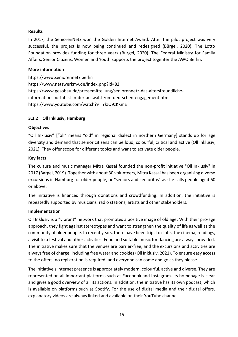#### **Results**

In 2017, the SeniorenNetz won the Golden Internet Award. After the pilot project was very successful, the project is now being continued and redesigned (Bürgel, 2020). The Lotto Foundation provides funding for three years (Bürgel, 2020). The Federal Ministry for Family Affairs, Senior Citizens, Women and Youth supports the project togehter the AWO Berlin.

#### **More information**

[https://www.seniorennetz.berlin](https://www.seniorennetz.berlin/) <https://www.netzwerkmv.de/index.php?id=82> [https://www.gesobau.de/pressemitteilung/seniorennetz-das-altersfreundliche](https://www.gesobau.de/pressemitteilung/seniorennetz-das-altersfreundliche-informationsportal-ist-in-der-auswahl-zum-deutschen-engagement.html)[informationsportal-ist-in-der-auswahl-zum-deutschen-engagement.html](https://www.gesobau.de/pressemitteilung/seniorennetz-das-altersfreundliche-informationsportal-ist-in-der-auswahl-zum-deutschen-engagement.html) <https://www.youtube.com/watch?v=iYkJO9zKKmE>

#### <span id="page-14-0"></span>**3.3.2 Oll Inklusiv, Hamburg**

#### **Objectives**

"Oll Inklusiv" ["oll" means "old" in regional dialect in northern Germany] stands up for age diversity and demand that senior citizens can be loud, colourful, critical and active (Oll Inklusiv, 2021). They offer scope for different topics and want to activate older people.

#### **Key facts**

The culture and music manager Mitra Kassai founded the non-profit initiative "Oll Inklusiv" in 2017 (Bargel, 2019). Together with about 30 volunteers, Mitra Kassai has been organising diverse excursions in Hamburg for older people, or "seniors and senioritas" as she calls people aged 60 or above.

The initiative is financed through donations and crowdfunding. In addition, the initiative is repeatedly supported by musicians, radio stations, artists and other stakeholders.

#### **Implementation**

Oll Inklusiv is a "vibrant" network that promotes a positive image of old age. With their pro-age approach, they fight against stereotypes and want to strengthen the quality of life as well as the community of older people. In recent years, there have been trips to clubs, the cinema, readings, a visit to a festival and other activities. Food and suitable music for dancing are always provided. The initiative makes sure that the venues are barrier-free, and the excursions and activities are always free of charge, including free water and cookies (Oll Inklusiv, 2021). To ensure easy access to the offers, no registration is required, and everyone can come and go as they please.

The initiative's internet presence is appropriately modern, colourful, active and diverse. They are represented on all important platforms such as Facebook and Instagram. Its homepage is clear and gives a good overview of all its actions. In addition, the initiative has its own podcast, which is available on platforms such as Spotify. For the use of digital media and their digital offers, explanatory videos are always linked and available on their YouTube channel.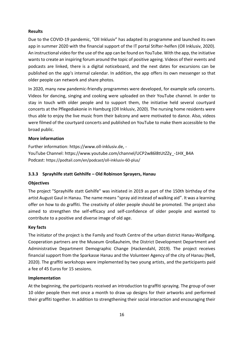#### **Results**

Due to the COVID-19 pandemic, "Oll Inklusiv" has adapted its programme and launched its own app in summer 2020 with the financial support of the IT portal Stifter-helfen (Oll Inklusiv, 2020). An instructional video for the use of the app can be found on YouTube. With the app, the initiative wants to create an inspiring forum around the topic of positive ageing. Videos of their events and podcasts are linked, there is a digital noticeboard, and the next dates for excursions can be published on the app's internal calendar. In addition, the app offers its own messenger so that older people can network and share photos.

In 2020, many new pandemic-friendly programmes were developed, for example sofa concerts. Videos for dancing, singing and cooking were uploaded on their YouTube channel. In order to stay in touch with older people and to support them, the initiative held several courtyard concerts at the Pflegediakonie in Hamburg (Oll Inklusiv, 2020). The nursing home residents were thus able to enjoy the live music from their balcony and were motivated to dance. Also, videos were filmed of the courtyard concerts and published on YouTube to make them accessible to the broad public.

#### **More information**

Further information: [https://www.oll-inklusiv.de,](https://www.oll-inklusiv.de/) - YouTube Channel: [https://www.youtube.com/channel/UCP2w86l8tUtZZy\\_-1HX\\_B4A](https://www.youtube.com/channel/UCP2w86l8tUtZZy_-1HX_B4A) Podcast: <https://podtail.com/en/podcast/oll-inklusiv-60-plus/>

#### <span id="page-15-0"></span>**3.3.3 Sprayhilfe statt Gehhilfe – Old Robinson Sprayers, Hanau**

#### **Objectives**

The project "Sprayhilfe statt Gehilfe" was initiated in 2019 as part of the 150th birthday of the artist August Gaul in Hanau. The name means "spray aid instead of walking aid". It was a learning offer on how to do graffiti. The creativity of older people should be promoted. The project also aimed to strengthen the self-efficacy and self-confidence of older people and wanted to contribute to a positive and diverse image of old age.

#### **Key facts**

The initiator of the project is the Family and Youth Centre of the urban district Hanau-Wolfgang. Cooperation partners are the Museum Großauheim, the District Development Department and Administrative Department Demographic Change (Hackendahl, 2019). The project receives financial support from the Sparkasse Hanau and the Volunteer Agency of the city of Hanau (Neß, 2020). The graffiti workshops were implemented by two young artists, and the participants paid a fee of 45 Euros for 15 sessions.

#### **Implementation**

At the beginning, the participants received an introduction to graffiti spraying. The group of over 10 older people then met once a month to draw up designs for their artworks and performed their graffiti together. In addition to strengthening their social interaction and encouraging their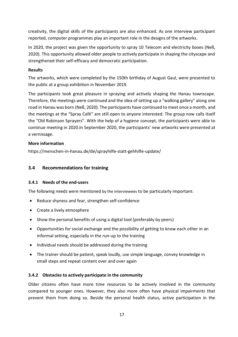creativity, the digital skills of the participants are also enhanced. As one interview participant reported, computer programmes play an important role in the designs of the artworks.

In 2020, the project was given the opportunity to spray 10 Telecom and electricity boxes (Neß, 2020). This opportunity allowed older people to actively participate in shaping the cityscape and strengthened their self-efficacy and democratic participation.

#### **Results**

The artworks, which were completed by the 150th birthday of August Gaul, were presented to the public at a group exhibition in November 2019.

The participants took great pleasure in spraying and actively shaping the Hanau townscape. Therefore, the meetings were continued and the idea of setting up a "walking gallery" along one road in Hanau was born (Neß, 2020). The participants have continued to meet once a month, and the meetings at the "Spray Café" are still open to anyone interested. The group now calls itself the "Old Robinson Sprayers". With the help of a hygiene concept, the participants were able to continue meeting in 2020.In September 2020, the participants' new artworks were presented at a vernissage.

### **More information**

<span id="page-16-0"></span>https://menschen-in-hanau.de/de/sprayhilfe-statt-gehhilfe-update/

# **3.4 Recommendations for training**

#### <span id="page-16-1"></span>**3.4.1 Needs of the end-users**

The following needs were mentioned by the interviewees to be particularly important:

- Reduce shyness and fear, strengthen self-confidence
- Create a lively atmosphere
- Show the personal benefits of using a digital tool (preferably by peers)
- Opportunities for social exchange and the possibility of getting to know each other in an informal setting, especially in the run-up to the training
- Individual needs should be addressed during the training
- The trainer should be patient, speak loudly, use simple language, convey knowledge in small steps and repeat content over and over again

# <span id="page-16-2"></span>**3.4.2 Obstacles to actively participate in the community**

Older citizens often have more time resources to be actively involved in the community compared to younger ones. However, they also more often have physical impairments that prevent them from doing so. Beside the personal health status, active participation in the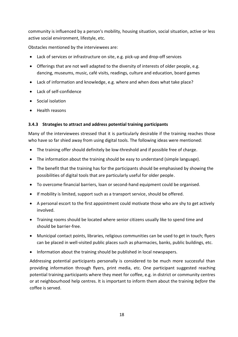community is influenced by a person's mobility, housing situation, social situation, active or less active social environment, lifestyle, etc.

Obstacles mentioned by the interviewees are:

- Lack of services or infrastructure on site, e.g. pick-up and drop-off services
- Offerings that are not well adapted to the diversity of interests of older people, e.g. dancing, museums, music, café visits, readings, culture and education, board games
- Lack of information and knowledge, e.g. where and when does what take place?
- Lack of self-confidence
- Social isolation
- Health reasons

#### <span id="page-17-0"></span>**3.4.3 Strategies to attract and address potential training participants**

Many of the interviewees stressed that it is particularly desirable if the training reaches those who have so far shied away from using digital tools. The following ideas were mentioned:

- The training offer should definitely be low-threshold and if possible free of charge.
- The information about the training should be easy to understand (simple language).
- The benefit that the training has for the participants should be emphasised by showing the possibilities of digital tools that are particularly useful for older people.
- To overcome financial barriers, loan or second-hand equipment could be organised.
- If mobility is limited, support such as a transport service, should be offered.
- A personal escort to the first appointment could motivate those who are shy to get actively involved.
- Training rooms should be located where senior citizens usually like to spend time and should be barrier-free.
- Municipal contact points, libraries, religious communities can be used to get in touch; flyers can be placed in well-visited public places such as pharmacies, banks, public buildings, etc.
- Information about the training should be published in local newspapers.

Addressing potential participants personally is considered to be much more successful than providing information through flyers, print media, etc. One participant suggested reaching potential training participants where they meet for coffee, e.g. in district or community centres or at neighbourhood help centres. It is important to inform them about the training *before* the coffee is served.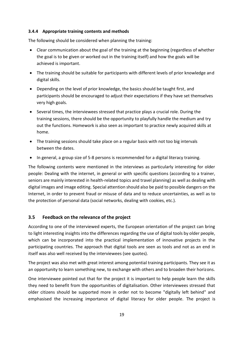#### <span id="page-18-0"></span>**3.4.4 Appropriate training contents and methods**

The following should be considered when planning the training:

- Clear communication about the goal of the training at the beginning (regardless of whether the goal is to be given or worked out in the training itself) and how the goals will be achieved is important.
- The training should be suitable for participants with different levels of prior knowledge and digital skills.
- Depending on the level of prior knowledge, the basics should be taught first, and participants should be encouraged to adjust their expectations if they have set themselves very high goals.
- Several times, the interviewees stressed that practice plays a crucial role. During the training sessions, there should be the opportunity to playfully handle the medium and try out the functions. Homework is also seen as important to practice newly acquired skills at home.
- The training sessions should take place on a regular basis with not too big intervals between the dates.
- In general, a group size of 5-8 persons is recommended for a digital literacy training.

The following contents were mentioned in the interviews as particularly interesting for older people: Dealing with the internet, in general or with specific questions (according to a trainer, seniors are mainly interested in health-related topics and travel planning) as well as dealing with digital images and image editing. Special attention should also be paid to possible dangers on the Internet, in order to prevent fraud or misuse of data and to reduce uncertainties, as well as to the protection of personal data (social networks, dealing with cookies, etc.).

# <span id="page-18-1"></span>**3.5 Feedback on the relevance of the project**

According to one of the interviewed experts, the European orientation of the project can bring to light interesting insights into the differences regarding the use of digital tools by older people, which can be incorporated into the practical implementation of innovative projects in the participating countries. The approach that digital tools are seen as tools and not as an end in itself was also well received by the interviewees (see quotes).

The project was also met with great interest among potential training participants. They see it as an opportunity to learn something new, to exchange with others and to broaden their horizons.

One interviewee pointed out that for the project it is important to help people learn the skills they need to benefit from the opportunities of digitalisation. Other interviewees stressed that older citizens should be supported more in order not to become "digitally left behind" and emphasised the increasing importance of digital literacy for older people. The project is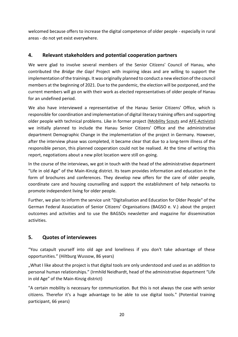welcomed because offers to increase the digital competence of older people - especially in rural areas - do not yet exist everywhere.

# <span id="page-19-0"></span>**4. Relevant stakeholders and potential cooperation partners**

We were glad to involve several members of the Senior Citizens' Council of Hanau, who contributed the *Bridge the Gap!* Project with inspiring ideas and are willing to support the implementation of the trainings. It was originally planned to conduct a new election of the council members at the beginning of 2021. Due to the pandemic, the election will be postponed, and the current members will go on with their work as elected representatives of older people of Hanau for an undefined period.

We also have interviewed a representative of the Hanau Senior Citizens' Office, which is responsible for coordination and implementation of digital literacy training offers and supporting older people with technical problems. Like in former project [\(Mobility Scouts](http://www.mobility-scouts.eu/) and [AFE-Activists\)](http://www.afe-activists.eu/) we initially planned to include the Hanau Senior Citizens' Office and the administrative department Demographic Change in the implementation of the project in Germany. However, after the interview phase was completed, it became clear that due to a long-term illness of the responsible person, this planned cooperation could not be realised. At the time of writing this report, negotiations about a new pilot location were still on-going.

In the course of the interviews, we got in touch with the head of the administrative department "Life in old Age" of the Main-Kinzig district. Its team provides information and education in the form of brochures and conferences. They develop new offers for the care of older people, coordinate care and housing counselling and support the establishment of help networks to promote independent living for older people.

Further, we plan to inform the service unit "Digitalisation and Education for Older People" of the German Federal Association of Senior Citizens' Organisations (BAGSO e. V.) about the project outcomes and activities and to use the BAGSOs newsletter and magazine for dissemination activities.

# <span id="page-19-1"></span>**5. Quotes of interviewees**

"You catapult yourself into old age and loneliness if you don't take advantage of these opportunities." (Hiltburg Wussow, 86 years)

"What I like about the project is that digital tools are only understood and used as an addition to personal human relationships." (Irmhild Neidhardt, head of the administrative department "Life in old Age" of the Main-Kinzig district)

"A certain mobility is necessary for communication. But this is not always the case with senior citizens. Therefor it's a huge advantage to be able to use digital tools." (Potential training participant, 66 years)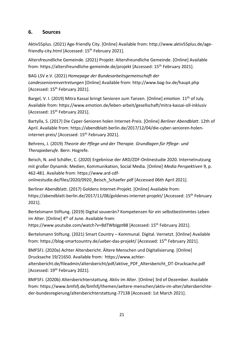# <span id="page-20-0"></span>**6. Sources**

Aktiv55plus. (2021) Age-friendly City. [Online] Available from: http://www.aktiv55plus.de/agefriendly-city.html [Accessed: 15<sup>th</sup> February 2021].

Altersfreundliche Gemeinde. (2021) Projekt: Altersfreundliche Gemeinde. [Online] Available from: https://altersfreundliche-gemeinde.de/projekt [Accessed: 15th February 2021].

BAG LSV e.V. (2021) *Homepage der Bundesarbeitsgemeinschaft der Landesseniorenvertretungen* [Online] Available from: http://www.bag-lsv.de/haupt.php [Accessed: 15<sup>th</sup> February 2021].

Bargel, V. I. (2019) Mitra Kassai bringt Senioren zum Tanzen. [Online] *emotion*. 11th of July. Available from: https://www.emotion.de/leben-arbeit/gesellschaft/mitra-kassai-oll-inklusiv [Accessed: 15<sup>th</sup> February 2021].

Bartylla, S. (2017) Die Cyper-Senioren holen Internet-Preis. [Online] *Berliner Abendblatt*. 12th of April. Available from: https://abendblatt-berlin.de/2017/12/04/die-cyber-senioren-holeninternet-preis/ [Accessed: 15<sup>th</sup> February 2021].

Behrens, J. (2019) *Theorie der Pflege und der Therapie. Grundlagen für Pflege- und Therapieberufe*. Bern: Hogrefe.

Beisch, N. and Schäfer, C. (2020) Ergebnisse der ARD/ZDF-Onlinestudie 2020. Internetnutzung mit großer Dynamik: Medien, Kommunikation, Social Media. [Online] *Media Perspektiven* 9, p. 462-481. Available from: https://www.ard-zdf-

onlinestudie.de/files/2020/0920\_Beisch\_Schaefer.pdf [Accessed 06th April 2021].

Berliner Abendblatt. (2017) Goldens Internet-Projekt. [Online] Available from: https://abendblatt-berlin.de/2017/11/08/goldenes-internet-projekt/ [Accessed: 15<sup>th</sup> February 2021].

Bertelsmann Stiftung. (2019) Digital souverän? Kompetenzen für ein selbstbestimmtes Leben im Alter. [Online]  $4<sup>th</sup>$  of June. Available from:

https://www.youtube.com/watch?v=BdTWbIgptB8 [Accessed: 15<sup>th</sup> February 2021].

Bertelsmann Stiftung. (2021) Smart Country – Kommunal. Digital. Vernetzt. [Online] Available from: https://blog-smartcountry.de/ueber-das-projekt/ [Accessed: 15<sup>th</sup> February 2021].

BMFSFJ. (2020a) Achter Altersbericht. Ältere Menschen und Digitalisierung. [Online] Drucksache 19/21650. Available from: [https://www.achter-](https://www.achter-altersbericht.de/fileadmin/altersbericht/pdf/aktive_PDF_Altersbericht_DT-Drucksache.pdf)

[altersbericht.de/fileadmin/altersbericht/pdf/aktive\\_PDF\\_Altersbericht\\_DT-Drucksache.pdf](https://www.achter-altersbericht.de/fileadmin/altersbericht/pdf/aktive_PDF_Altersbericht_DT-Drucksache.pdf) [Accessed: 19<sup>th</sup> February 2021].

BMFSFJ. (2020b) Altersberichterstattung. Aktiv im Alter. [Online] 3rd of Dezember. Available from: https://www.bmfsfj.de/bmfsfj/themen/aeltere-menschen/aktiv-im-alter/altersberichteder-bundesregierung/altersberichterstattung-77138 [Accessed: 1st March 2021].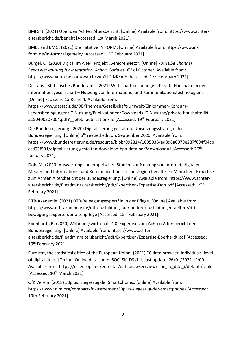BMFSFJ. (2021) Über den Achten Altersbericht. [Online] Available from: https://www.achteraltersbericht.de/bericht [Accessed: 1st March 2021].

BMEL and BMG. (2021) Die Initative IN FORM. [Online] Available from: https://www.inform.de/in-form/allgemein/ [Accessed: 15th February 2021].

Bürgel, O. (2020) Digital im Alter: Projekt "SeniorenNetz". [Online] *YouTube Channel* Senatsverwaltung für Integration, Arbeit, Soziales. 6<sup>th</sup> of October. Available from: https://www.youtube.com/watch?v=iYkJO9zKKmE [Accessed: 15<sup>th</sup> February 2021].

Destatis - Statistisches Bundesamt. (2021) Wirtschaftsrechnungen. Private Haushalte in der Informationsgesellschaft – Nutzung von Informations- und Kommunikationstechnologien. [Online] Fachserie 15 Reihe 4. Available from:

https://www.destatis.de/DE/Themen/Gesellschaft-Umwelt/Einkommen-Konsum-Lebensbedingungen/IT-Nutzung/Publikationen/Downloads-IT-Nutzung/private-haushalte-ikt-2150400207004.pdf? blob=publicationFile [Accessed: 19<sup>th</sup> February 2021].

Die Bundesregierung. (2020) Digitalisierung gestalten. Umsetzungsstrategie der Bundesregierung. [Online] 5<sup>th</sup> revised edition, September 2020. Available from: https://www.bundesregierung.de/resource/blob/992814/1605036/ad8d8a0079e287f694f04cb ccd93f591/digitalisierung-gestalten-download-bpa-data.pdf?download=1 [Accessed: 26th January 2021].

Doh, M. (2020) Auswertung von empirischen Studien zur Nutzung von Internet, digitalen Medien und Informations- und Kommunikations-Technologien bei älteren Menschen. Expertise zum Achten Altersbericht der Bundesregierung. [Online] Available from: https://www.achteraltersbericht.de/fileadmin/altersbericht/pdf/Expertisen/Expertise-Doh.pdf [Accessed: 19th February 2021].

DTB-Akademie. (2021) DTB-Bewegungsexpert\*in in der Pflege. [Online] Available from: https://www.dtb-akademie.de/dtb/ausbildung-fuer-aeltere/ausbildungen-aeltere/dtbbewegungsexperte-der-altenpflege [Accessed: 15<sup>th</sup> February 2021].

Ebenhardt, B. (2020) Wohnungswirtschaft 4.0. Expertise zum Achten Altersbericht der Bundesregierung. [Online] Available from: https://www.achteraltersbericht.de/fileadmin/altersbericht/pdf/Expertisen/Expertise-Eberhardt.pdf [Accessed: 19<sup>th</sup> February 2021].

Eurostat, the statistical office of the European Union. (2021) EC data browser. Individuals' level of digital skills. [Online] Online data code: ISOC\_SK\_DSKL\_I, last update: 26/01/2021 11:00. Available from: https://ec.europa.eu/eurostat/databrowser/view/isoc\_sk\_dskl\_i/default/table [Accessed: 10<sup>th</sup> March 2021].

GfK Verein. (2018) 50plus: Siegeszug der Smartphones. [online] Available from: https://www.nim.org/compact/fokusthemen/50plus-siegeszug-der-smartphones [Accessed: 19th February 2021].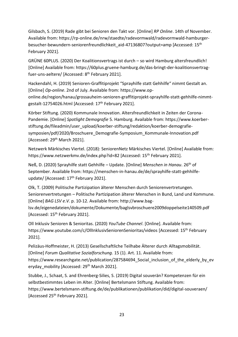Gilsbach, S. (2019) Rade gibt bei Senioren den Takt vor. [Online] *RP Online*. 14th of November. Available from: https://rp-online.de/nrw/staedte/radevormwald/radevormwald-hamburgerbesucher-bewundern-seniorenfreundlichkeit aid-47136807?output=amp [Accessed: 15<sup>th</sup> February 2021].

GRÜNE 60PLUS. (2020) Der Koalitionsvertrags ist durch – so wird Hamburg altersfreundlich! [Online] Available from: https://60plus.gruene-hamburg.de/das-bringt-der-koalitionsvertragfuer-uns-aeltere/ [Accessed: 8<sup>th</sup> February 2021].

Hackendahl, H. (2019) Senioren-Graffitiprojekt "Sprayhilfe statt Gehhilfe" nimmt Gestalt an. [Online] *Op-online*. 2nd of July. Available from: https://www.oponline.de/region/hanau/grossauheim-senioren-graffitiprojekt-sprayhilfe-statt-gehhilfe-nimmtgestalt-12754026.html [Accessed: 17<sup>th</sup> February 2021].

Körber Stiftung. (2020) Kommunale Innovation. Altersfreundlichkeit in Zeiten der Corona-Pandemie. [Online] *Spotlight Demografie* 5. Hamburg. Available from: https://www.koerberstiftung.de/fileadmin/user\_upload/koerber-stiftung/redaktion/koerber-demografiesymposien/pdf/2020/Broschuere\_Demografie-Symposium\_Kommunale-Innovation.pdf [Accessed: 29<sup>th</sup> March 2021].

Netzwerk Märkisches Viertel. (2018): SeniorenNetz Märkisches Viertel. [Online] Available from: https://www.netzwerkmv.de/index.php?id=82 [Accessed: 15<sup>th</sup> February 2021].

Neß, D. (2020) Sprayhilfe statt Gehhilfe - Update. [Online] Menschen in Hanau. 26<sup>th</sup> of September. Available from: https://menschen-in-hanau.de/de/sprayhilfe-statt-gehhilfeupdate/ [Accessed: 17<sup>th</sup> February 2021].

Olk, T. (2009) Politische Partizipation älterer Menschen durch Seniorenvertretungen. Seniorenvertretungen – Politische Partizipation älterer Menschen in Bund, Land und Kommune. [Online] *BAG LSV e.V.* p. 10-12. Available from: http://www.bag-

lsv.de/eigenedateien/dokumente/Dokumente/baglsvbroschuere2009doppelseite140509.pdf [Accessed: 15<sup>th</sup> February 2021].

Oll Inklusiv Senioren & Senioritas. (2020) *YouTube Channel*. [Online]. Available from: https://www.youtube.com/c/OllInklusivSeniorenSenioritas/videos [Accessed: 15th February 2021].

Pelizäus-Hoffmeister, H. (2013) Gesellschaftliche Teilhabe Älterer durch Alltagsmobilität. [Online] *Forum Qualitative Sozialforschung.* 15 (1). Art. 11. Available from: https://www.researchgate.net/publication/287584694 Social inclusion of the elderly by ev eryday mobility [Accessed: 29<sup>th</sup> March 2021].

Stubbe, J., Schaat, S. and Ehrenberg-Silies, S. (2019) Digital souverän? Kompetenzen für ein selbstbestimmtes Leben im Alter. [Online] Bertelsmann Stiftung. Available from: https://www.bertelsmann-stiftung.de/de/publikationen/publikation/did/digital-souveraen/ [Accessed 25<sup>th</sup> February 2021].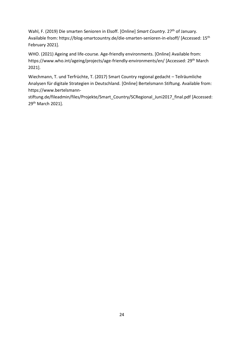Wahl, F. (2019) Die smarten Senioren in Elsoff. [Online] *Smart Country*. 27th of January. Available from: https://blog-smartcountry.de/die-smarten-senioren-in-elsoff/ [Accessed: 15<sup>th</sup> February 2021].

WHO. (2021) Ageing and life-course. Age-friendly environments. [Online] Available from: https://www.who.int/ageing/projects/age-friendly-environments/en/ [Accessed: 29<sup>th</sup> March 2021].

Wiechmann, T. und Terfrüchte, T. (2017) Smart Country regional gedacht – Teilräumliche Analysen für digitale Strategien in Deutschland. [Online] Bertelsmann Stiftung. Available from: https://www.bertelsmann-

stiftung.de/fileadmin/files/Projekte/Smart\_Country/SCRegional\_Juni2017\_final.pdf [Accessed: 29th March 2021].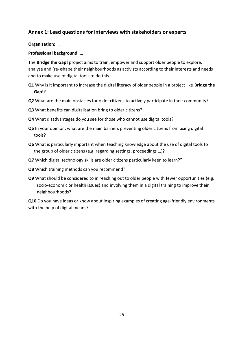# <span id="page-24-0"></span>**Annex 1: Lead questions for interviews with stakeholders or experts**

**Organisation:** …

**Professional background:** …

The **Bridge the Gap!** project aims to train, empower and support older people to explore, analyse and (re-)shape their neighbourhoods as activists according to their interests and needs and to make use of digital tools to do this.

- **Q1** Why is it important to increase the digital literacy of older people in a project like **Bridge the Gap!**?
- **Q2** What are the main obstacles for older citizens to actively participate in their community?
- **Q3** What benefits can digitalisation bring to older citizens?
- **Q4** What disadvantages do you see for those who cannot use digital tools?
- **Q5** In your opinion, what are the main barriers preventing older citizens from using digital tools?
- **Q6** What is particularly important when teaching knowledge about the use of digital tools to the group of older citizens (e.g. regarding settings, proceedings …)?
- **Q7** Which digital technology skills are older citizens particularly keen to learn?"
- **Q8** Which training methods can you recommend?
- **Q9** What should be considered to in reaching out to older people with fewer opportunities (e.g. socio-economic or health issues) and involving them in a digital training to improve their neighbourhoods?

**Q10** Do you have ideas or know about inspiring examples of creating age-friendly environments with the help of digital means?